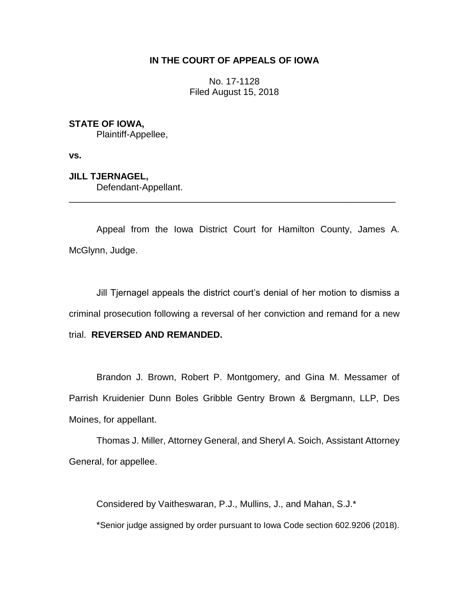## **IN THE COURT OF APPEALS OF IOWA**

No. 17-1128 Filed August 15, 2018

## **STATE OF IOWA,**

Plaintiff-Appellee,

**vs.**

**JILL TJERNAGEL,** Defendant-Appellant. \_\_\_\_\_\_\_\_\_\_\_\_\_\_\_\_\_\_\_\_\_\_\_\_\_\_\_\_\_\_\_\_\_\_\_\_\_\_\_\_\_\_\_\_\_\_\_\_\_\_\_\_\_\_\_\_\_\_\_\_\_\_\_\_

Appeal from the Iowa District Court for Hamilton County, James A. McGlynn, Judge.

Jill Tjernagel appeals the district court's denial of her motion to dismiss a criminal prosecution following a reversal of her conviction and remand for a new trial. **REVERSED AND REMANDED.** 

Brandon J. Brown, Robert P. Montgomery, and Gina M. Messamer of Parrish Kruidenier Dunn Boles Gribble Gentry Brown & Bergmann, LLP, Des Moines, for appellant.

Thomas J. Miller, Attorney General, and Sheryl A. Soich, Assistant Attorney General, for appellee.

Considered by Vaitheswaran, P.J., Mullins, J., and Mahan, S.J.\* \*Senior judge assigned by order pursuant to Iowa Code section 602.9206 (2018).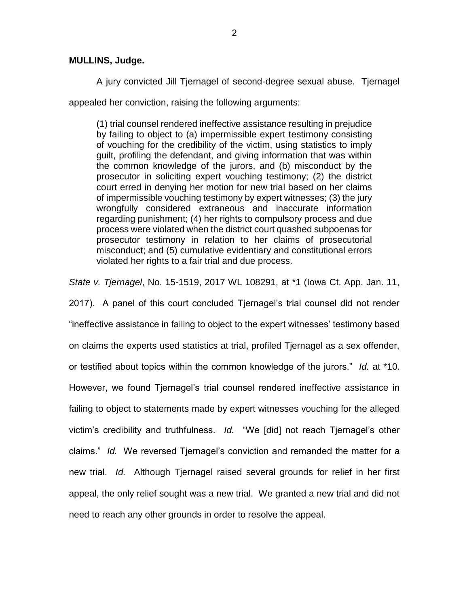## **MULLINS, Judge.**

A jury convicted Jill Tjernagel of second-degree sexual abuse. Tjernagel appealed her conviction, raising the following arguments:

(1) trial counsel rendered ineffective assistance resulting in prejudice by failing to object to (a) impermissible expert testimony consisting of vouching for the credibility of the victim, using statistics to imply guilt, profiling the defendant, and giving information that was within the common knowledge of the jurors, and (b) misconduct by the prosecutor in soliciting expert vouching testimony; (2) the district court erred in denying her motion for new trial based on her claims of impermissible vouching testimony by expert witnesses; (3) the jury wrongfully considered extraneous and inaccurate information regarding punishment; (4) her rights to compulsory process and due process were violated when the district court quashed subpoenas for prosecutor testimony in relation to her claims of prosecutorial misconduct; and (5) cumulative evidentiary and constitutional errors violated her rights to a fair trial and due process.

*State v. Tjernagel*, No. 15-1519, 2017 WL 108291, at \*1 (Iowa Ct. App. Jan. 11,

2017). A panel of this court concluded Tjernagel's trial counsel did not render "ineffective assistance in failing to object to the expert witnesses' testimony based on claims the experts used statistics at trial, profiled Tjernagel as a sex offender, or testified about topics within the common knowledge of the jurors." *Id.* at \*10. However, we found Tjernagel's trial counsel rendered ineffective assistance in failing to object to statements made by expert witnesses vouching for the alleged victim's credibility and truthfulness. *Id.* "We [did] not reach Tjernagel's other claims." *Id.* We reversed Tjernagel's conviction and remanded the matter for a new trial. *Id.* Although Tjernagel raised several grounds for relief in her first appeal, the only relief sought was a new trial. We granted a new trial and did not need to reach any other grounds in order to resolve the appeal.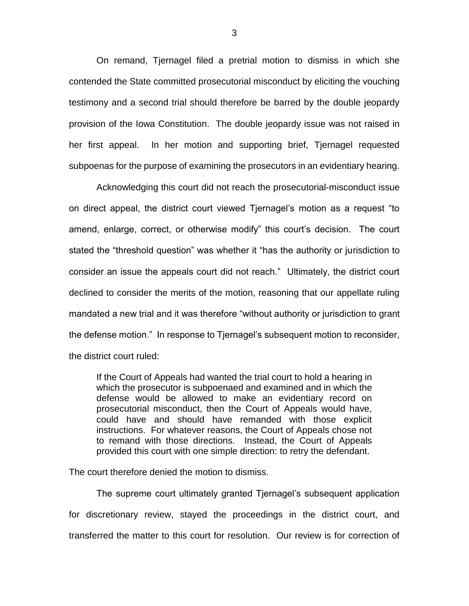On remand, Tjernagel filed a pretrial motion to dismiss in which she contended the State committed prosecutorial misconduct by eliciting the vouching testimony and a second trial should therefore be barred by the double jeopardy provision of the Iowa Constitution. The double jeopardy issue was not raised in her first appeal. In her motion and supporting brief, Tjernagel requested subpoenas for the purpose of examining the prosecutors in an evidentiary hearing.

Acknowledging this court did not reach the prosecutorial-misconduct issue on direct appeal, the district court viewed Tjernagel's motion as a request "to amend, enlarge, correct, or otherwise modify" this court's decision. The court stated the "threshold question" was whether it "has the authority or jurisdiction to consider an issue the appeals court did not reach." Ultimately, the district court declined to consider the merits of the motion, reasoning that our appellate ruling mandated a new trial and it was therefore "without authority or jurisdiction to grant the defense motion." In response to Tjernagel's subsequent motion to reconsider, the district court ruled:

If the Court of Appeals had wanted the trial court to hold a hearing in which the prosecutor is subpoenaed and examined and in which the defense would be allowed to make an evidentiary record on prosecutorial misconduct, then the Court of Appeals would have, could have and should have remanded with those explicit instructions. For whatever reasons, the Court of Appeals chose not to remand with those directions. Instead, the Court of Appeals provided this court with one simple direction: to retry the defendant.

The court therefore denied the motion to dismiss.

The supreme court ultimately granted Tjernagel's subsequent application for discretionary review, stayed the proceedings in the district court, and transferred the matter to this court for resolution. Our review is for correction of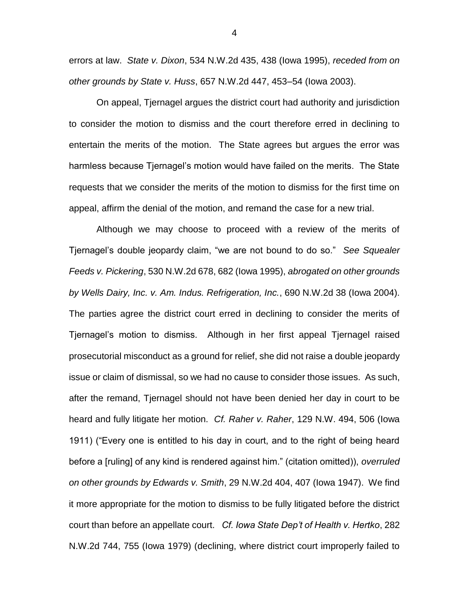errors at law. *State v. Dixon*, 534 N.W.2d 435, 438 (Iowa 1995), *receded from on other grounds by State v. Huss*, 657 N.W.2d 447, 453–54 (Iowa 2003).

On appeal, Tjernagel argues the district court had authority and jurisdiction to consider the motion to dismiss and the court therefore erred in declining to entertain the merits of the motion. The State agrees but argues the error was harmless because Tjernagel's motion would have failed on the merits. The State requests that we consider the merits of the motion to dismiss for the first time on appeal, affirm the denial of the motion, and remand the case for a new trial.

Although we may choose to proceed with a review of the merits of Tjernagel's double jeopardy claim, "we are not bound to do so." *See Squealer Feeds v. Pickering*, 530 N.W.2d 678, 682 (Iowa 1995), *abrogated on other grounds by Wells Dairy, Inc. v. Am. Indus. Refrigeration, Inc.*, 690 N.W.2d 38 (Iowa 2004). The parties agree the district court erred in declining to consider the merits of Tjernagel's motion to dismiss. Although in her first appeal Tjernagel raised prosecutorial misconduct as a ground for relief, she did not raise a double jeopardy issue or claim of dismissal, so we had no cause to consider those issues. As such, after the remand, Tjernagel should not have been denied her day in court to be heard and fully litigate her motion. *Cf. Raher v. Raher*, 129 N.W. 494, 506 (Iowa 1911) ("Every one is entitled to his day in court, and to the right of being heard before a [ruling] of any kind is rendered against him." (citation omitted)), *overruled on other grounds by Edwards v. Smith*, 29 N.W.2d 404, 407 (Iowa 1947). We find it more appropriate for the motion to dismiss to be fully litigated before the district court than before an appellate court. *Cf. Iowa State Dep't of Health v. Hertko*, 282 N.W.2d 744, 755 (Iowa 1979) (declining, where district court improperly failed to